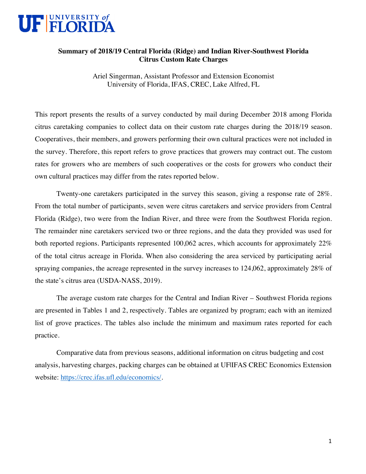

## **Summary of 2018/19 Central Florida (Ridge) and Indian River-Southwest Florida Citrus Custom Rate Charges**

Ariel Singerman, Assistant Professor and Extension Economist University of Florida, IFAS, CREC, Lake Alfred, FL

This report presents the results of a survey conducted by mail during December 2018 among Florida citrus caretaking companies to collect data on their custom rate charges during the 2018/19 season. Cooperatives, their members, and growers performing their own cultural practices were not included in the survey. Therefore, this report refers to grove practices that growers may contract out. The custom rates for growers who are members of such cooperatives or the costs for growers who conduct their own cultural practices may differ from the rates reported below.

Twenty-one caretakers participated in the survey this season, giving a response rate of 28%. From the total number of participants, seven were citrus caretakers and service providers from Central Florida (Ridge), two were from the Indian River, and three were from the Southwest Florida region. The remainder nine caretakers serviced two or three regions, and the data they provided was used for both reported regions. Participants represented 100,062 acres, which accounts for approximately 22% of the total citrus acreage in Florida. When also considering the area serviced by participating aerial spraying companies, the acreage represented in the survey increases to 124,062, approximately 28% of the state's citrus area (USDA-NASS, 2019).

The average custom rate charges for the Central and Indian River – Southwest Florida regions are presented in Tables 1 and 2, respectively. Tables are organized by program; each with an itemized list of grove practices. The tables also include the minimum and maximum rates reported for each practice.

Comparative data from previous seasons, additional information on citrus budgeting and cost analysis, harvesting charges, packing charges can be obtained at UFIIFAS CREC Economics Extension website: https://crec.ifas.ufl.edu/economics/.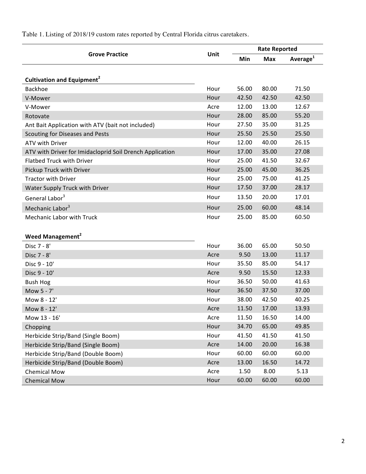|                                                          |      | <b>Rate Reported</b> |            |                |
|----------------------------------------------------------|------|----------------------|------------|----------------|
| <b>Grove Practice</b>                                    | Unit | Min                  | <b>Max</b> | Average $^{1}$ |
|                                                          |      |                      |            |                |
| <b>Cultivation and Equipment<sup>2</sup></b>             |      |                      |            |                |
| <b>Backhoe</b>                                           | Hour | 56.00                | 80.00      | 71.50          |
| V-Mower                                                  | Hour | 42.50                | 42.50      | 42.50          |
| V-Mower                                                  | Acre | 12.00                | 13.00      | 12.67          |
| Rotovate                                                 | Hour | 28.00                | 85.00      | 55.20          |
| Ant Bait Application with ATV (bait not included)        | Hour | 27.50                | 35.00      | 31.25          |
| Scouting for Diseases and Pests                          | Hour | 25.50                | 25.50      | 25.50          |
| ATV with Driver                                          | Hour | 12.00                | 40.00      | 26.15          |
| ATV with Driver for Imidacloprid Soil Drench Application | Hour | 17.00                | 35.00      | 27.08          |
| <b>Flatbed Truck with Driver</b>                         | Hour | 25.00                | 41.50      | 32.67          |
| Pickup Truck with Driver                                 | Hour | 25.00                | 45.00      | 36.25          |
| <b>Tractor with Driver</b>                               | Hour | 25.00                | 75.00      | 41.25          |
| Water Supply Truck with Driver                           | Hour | 17.50                | 37.00      | 28.17          |
| General Labor <sup>3</sup>                               | Hour | 13.50                | 20.00      | 17.01          |
| Mechanic Labor <sup>3</sup>                              | Hour | 25.00                | 60.00      | 48.14          |
| Mechanic Labor with Truck                                | Hour | 25.00                | 85.00      | 60.50          |
|                                                          |      |                      |            |                |
| <b>Weed Management<sup>2</sup></b>                       |      |                      |            |                |
| Disc 7 - 8'                                              | Hour | 36.00                | 65.00      | 50.50          |
| Disc 7 - 8'                                              | Acre | 9.50                 | 13.00      | 11.17          |
| Disc 9 - 10'                                             | Hour | 35.50                | 85.00      | 54.17          |
| Disc 9 - 10'                                             | Acre | 9.50                 | 15.50      | 12.33          |
| <b>Bush Hog</b>                                          | Hour | 36.50                | 50.00      | 41.63          |
| Mow 5 - 7'                                               | Hour | 36.50                | 37.50      | 37.00          |
| Mow 8 - 12'                                              | Hour | 38.00                | 42.50      | 40.25          |
| Mow 8 - 12'                                              | Acre | 11.50                | 17.00      | 13.93          |
| Mow 13 - 16'                                             | Acre | 11.50                | 16.50      | 14.00          |
| Chopping                                                 | Hour | 34.70                | 65.00      | 49.85          |
| Herbicide Strip/Band (Single Boom)                       | Hour | 41.50                | 41.50      | 41.50          |
| Herbicide Strip/Band (Single Boom)                       | Acre | 14.00                | 20.00      | 16.38          |
| Herbicide Strip/Band (Double Boom)                       | Hour | 60.00                | 60.00      | 60.00          |
| Herbicide Strip/Band (Double Boom)                       | Acre | 13.00                | 16.50      | 14.72          |
| <b>Chemical Mow</b>                                      | Acre | 1.50                 | 8.00       | 5.13           |
| <b>Chemical Mow</b>                                      | Hour | 60.00                | 60.00      | 60.00          |

Table 1. Listing of 2018/19 custom rates reported by Central Florida citrus caretakers.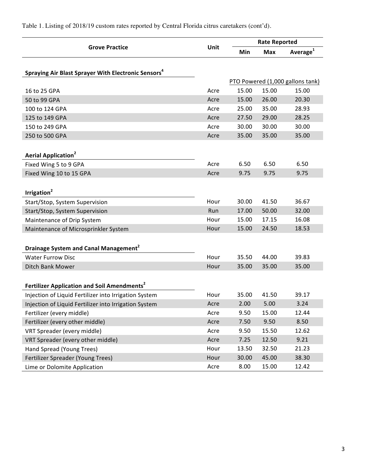|                                                                 |      | <b>Rate Reported</b> |            |                                  |  |
|-----------------------------------------------------------------|------|----------------------|------------|----------------------------------|--|
| <b>Grove Practice</b>                                           | Unit | Min                  | <b>Max</b> | Average <sup>1</sup>             |  |
|                                                                 |      |                      |            |                                  |  |
| Spraying Air Blast Sprayer With Electronic Sensors <sup>4</sup> |      |                      |            |                                  |  |
|                                                                 |      |                      |            | PTO Powered (1,000 gallons tank) |  |
| 16 to 25 GPA                                                    | Acre | 15.00                | 15.00      | 15.00                            |  |
| 50 to 99 GPA                                                    | Acre | 15.00                | 26.00      | 20.30                            |  |
| 100 to 124 GPA                                                  | Acre | 25.00                | 35.00      | 28.93                            |  |
| 125 to 149 GPA                                                  | Acre | 27.50                | 29.00      | 28.25                            |  |
| 150 to 249 GPA                                                  | Acre | 30.00                | 30.00      | 30.00                            |  |
| 250 to 500 GPA                                                  | Acre | 35.00                | 35.00      | 35.00                            |  |
|                                                                 |      |                      |            |                                  |  |
| <b>Aerial Application<sup>2</sup></b>                           |      |                      |            |                                  |  |
| Fixed Wing 5 to 9 GPA                                           | Acre | 6.50                 | 6.50       | 6.50                             |  |
| Fixed Wing 10 to 15 GPA                                         | Acre | 9.75                 | 9.75       | 9.75                             |  |
|                                                                 |      |                      |            |                                  |  |
| Irrigation <sup>2</sup>                                         |      |                      |            |                                  |  |
| Start/Stop, System Supervision                                  | Hour | 30.00                | 41.50      | 36.67                            |  |
| Start/Stop, System Supervision                                  | Run  | 17.00                | 50.00      | 32.00                            |  |
| Maintenance of Drip System                                      | Hour | 15.00                | 17.15      | 16.08                            |  |
| Maintenance of Microsprinkler System                            | Hour | 15.00                | 24.50      | 18.53                            |  |
|                                                                 |      |                      |            |                                  |  |
| Drainage System and Canal Management <sup>2</sup>               |      |                      |            |                                  |  |
| <b>Water Furrow Disc</b>                                        | Hour | 35.50                | 44.00      | 39.83                            |  |
| Ditch Bank Mower                                                | Hour | 35.00                | 35.00      | 35.00                            |  |
|                                                                 |      |                      |            |                                  |  |
| Fertilizer Application and Soil Amendments <sup>2</sup>         |      |                      |            |                                  |  |
| Injection of Liquid Fertilizer into Irrigation System           | Hour | 35.00                | 41.50      | 39.17                            |  |
| Injection of Liquid Fertilizer into Irrigation System           | Acre | 2.00                 | 5.00       | 3.24                             |  |
| Fertilizer (every middle)                                       | Acre | 9.50                 | 15.00      | 12.44                            |  |
| Fertilizer (every other middle)                                 | Acre | 7.50                 | 9.50       | 8.50                             |  |
| VRT Spreader (every middle)                                     | Acre | 9.50                 | 15.50      | 12.62                            |  |
| VRT Spreader (every other middle)                               | Acre | 7.25                 | 12.50      | 9.21                             |  |
| Hand Spread (Young Trees)                                       | Hour | 13.50                | 32.50      | 21.23                            |  |
| Fertilizer Spreader (Young Trees)                               | Hour | 30.00                | 45.00      | 38.30                            |  |
| Lime or Dolomite Application                                    | Acre | 8.00                 | 15.00      | 12.42                            |  |

Table 1. Listing of 2018/19 custom rates reported by Central Florida citrus caretakers (cont'd).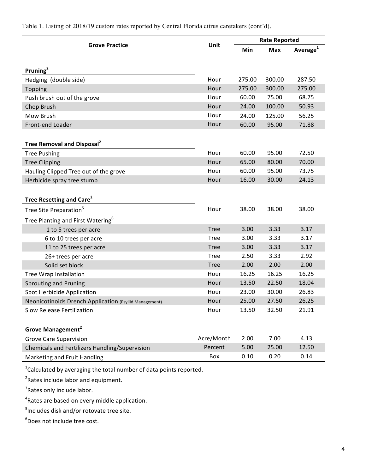| Unit<br><b>Grove Practice</b>                                                  |             | <b>Rate Reported</b> |            |                      |
|--------------------------------------------------------------------------------|-------------|----------------------|------------|----------------------|
|                                                                                |             | Min                  | <b>Max</b> | Average <sup>1</sup> |
|                                                                                |             |                      |            |                      |
| Pruning $2$                                                                    |             |                      |            |                      |
| Hedging (double side)                                                          | Hour        | 275.00               | 300.00     | 287.50               |
| Topping                                                                        | Hour        | 275.00               | 300.00     | 275.00               |
| Push brush out of the grove                                                    | Hour        | 60.00                | 75.00      | 68.75                |
| Chop Brush                                                                     | Hour        | 24.00                | 100.00     | 50.93                |
| Mow Brush                                                                      | Hour        | 24.00                | 125.00     | 56.25                |
| Front-end Loader                                                               | Hour        | 60.00                | 95.00      | 71.88                |
|                                                                                |             |                      |            |                      |
| Tree Removal and Disposal <sup>2</sup>                                         |             |                      |            |                      |
| <b>Tree Pushing</b>                                                            | Hour        | 60.00                | 95.00      | 72.50                |
| <b>Tree Clipping</b>                                                           | Hour        | 65.00                | 80.00      | 70.00                |
| Hauling Clipped Tree out of the grove                                          | Hour        | 60.00                | 95.00      | 73.75                |
| Herbicide spray tree stump                                                     | Hour        | 16.00                | 30.00      | 24.13                |
|                                                                                |             |                      |            |                      |
| Tree Resetting and Care <sup>2</sup>                                           |             |                      |            |                      |
| Tree Site Preparation <sup>5</sup>                                             | Hour        | 38.00                | 38.00      | 38.00                |
| Tree Planting and First Watering <sup>6</sup>                                  |             |                      |            |                      |
| 1 to 5 trees per acre                                                          | <b>Tree</b> | 3.00                 | 3.33       | 3.17                 |
| 6 to 10 trees per acre                                                         | <b>Tree</b> | 3.00                 | 3.33       | 3.17                 |
| 11 to 25 trees per acre                                                        | <b>Tree</b> | 3.00                 | 3.33       | 3.17                 |
| 26+ trees per acre                                                             | <b>Tree</b> | 2.50                 | 3.33       | 2.92                 |
| Solid set block                                                                | <b>Tree</b> | 2.00                 | 2.00       | 2.00                 |
| <b>Tree Wrap Installation</b>                                                  | Hour        | 16.25                | 16.25      | 16.25                |
| <b>Sprouting and Pruning</b>                                                   | Hour        | 13.50                | 22.50      | 18.04                |
| Spot Herbicide Application                                                     | Hour        | 23.00                | 30.00      | 26.83                |
| Neonicotinoids Drench Application (Psyllid Management)                         | Hour        | 25.00                | 27.50      | 26.25                |
| <b>Slow Release Fertilization</b>                                              | Hour        | 13.50                | 32.50      | 21.91                |
|                                                                                |             |                      |            |                      |
| Grove Management <sup>2</sup>                                                  |             |                      |            |                      |
| <b>Grove Care Supervision</b>                                                  | Acre/Month  | 2.00                 | 7.00       | 4.13                 |
| Chemicals and Fertilizers Handling/Supervision                                 | Percent     | 5.00                 | 25.00      | 12.50                |
| Marketing and Fruit Handling                                                   | Box         | 0.10                 | 0.20       | 0.14                 |
| <sup>1</sup> Calculated by averaging the total number of data points reported. |             |                      |            |                      |

Table 1. Listing of 2018/19 custom rates reported by Central Florida citrus caretakers (cont'd).

 $\mathsf{py}$  averaging the total number of data points repo $\mathsf{p}$ 

 $2$ Rates include labor and equipment.

<sup>3</sup>Rates only include labor.

<sup>4</sup>Rates are based on every middle application.

<sup>5</sup>Includes disk and/or rotovate tree site.

6 Does not include tree cost.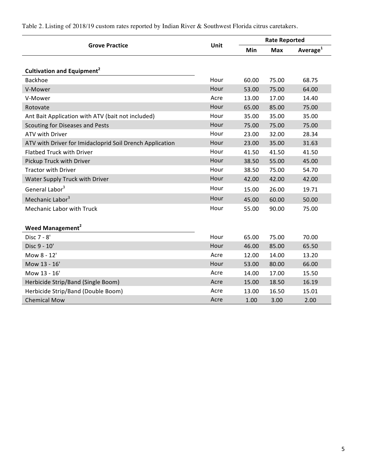| <b>Grove Practice</b><br><b>Unit</b>                     |      | <b>Rate Reported</b> |                      |       |
|----------------------------------------------------------|------|----------------------|----------------------|-------|
|                                                          | Min  | <b>Max</b>           | Average <sup>1</sup> |       |
|                                                          |      |                      |                      |       |
| Cultivation and Equipment <sup>2</sup>                   |      |                      |                      |       |
| <b>Backhoe</b>                                           | Hour | 60.00                | 75.00                | 68.75 |
| V-Mower                                                  | Hour | 53.00                | 75.00                | 64.00 |
| V-Mower                                                  | Acre | 13.00                | 17.00                | 14.40 |
| Rotovate                                                 | Hour | 65.00                | 85.00                | 75.00 |
| Ant Bait Application with ATV (bait not included)        | Hour | 35.00                | 35.00                | 35.00 |
| <b>Scouting for Diseases and Pests</b>                   | Hour | 75.00                | 75.00                | 75.00 |
| <b>ATV with Driver</b>                                   | Hour | 23.00                | 32.00                | 28.34 |
| ATV with Driver for Imidacloprid Soil Drench Application | Hour | 23.00                | 35.00                | 31.63 |
| <b>Flatbed Truck with Driver</b>                         | Hour | 41.50                | 41.50                | 41.50 |
| Pickup Truck with Driver                                 | Hour | 38.50                | 55.00                | 45.00 |
| <b>Tractor with Driver</b>                               | Hour | 38.50                | 75.00                | 54.70 |
| Water Supply Truck with Driver                           | Hour | 42.00                | 42.00                | 42.00 |
| General Labor <sup>3</sup>                               | Hour | 15.00                | 26.00                | 19.71 |
| Mechanic Labor <sup>3</sup>                              | Hour | 45.00                | 60.00                | 50.00 |
| <b>Mechanic Labor with Truck</b>                         | Hour | 55.00                | 90.00                | 75.00 |
|                                                          |      |                      |                      |       |
| <b>Weed Management<sup>2</sup></b>                       |      |                      |                      |       |
| Disc 7 - 8'                                              | Hour | 65.00                | 75.00                | 70.00 |
| Disc 9 - 10'                                             | Hour | 46.00                | 85.00                | 65.50 |
| Mow 8 - 12'                                              | Acre | 12.00                | 14.00                | 13.20 |
| Mow 13 - 16'                                             | Hour | 53.00                | 80.00                | 66.00 |
| Mow 13 - 16'                                             | Acre | 14.00                | 17.00                | 15.50 |
| Herbicide Strip/Band (Single Boom)                       | Acre | 15.00                | 18.50                | 16.19 |
| Herbicide Strip/Band (Double Boom)                       | Acre | 13.00                | 16.50                | 15.01 |
| <b>Chemical Mow</b>                                      | Acre | 1.00                 | 3.00                 | 2.00  |

Table 2. Listing of 2018/19 custom rates reported by Indian River & Southwest Florida citrus caretakers.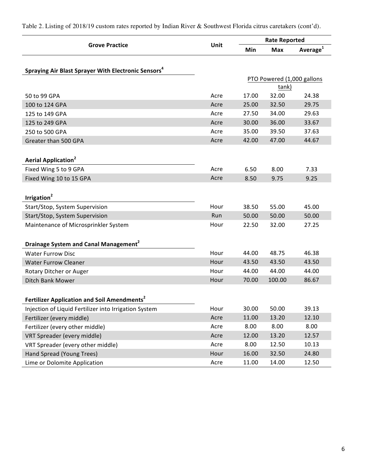|                                                                 | Unit | <b>Rate Reported</b> |            |                            |
|-----------------------------------------------------------------|------|----------------------|------------|----------------------------|
| <b>Grove Practice</b>                                           |      | Min                  | <b>Max</b> | Average <sup>1</sup>       |
|                                                                 |      |                      |            |                            |
| Spraying Air Blast Sprayer With Electronic Sensors <sup>4</sup> |      |                      |            |                            |
|                                                                 |      |                      |            | PTO Powered (1,000 gallons |
|                                                                 |      |                      | tank)      |                            |
| 50 to 99 GPA                                                    | Acre | 17.00                | 32.00      | 24.38                      |
| 100 to 124 GPA                                                  | Acre | 25.00                | 32.50      | 29.75                      |
| 125 to 149 GPA                                                  | Acre | 27.50                | 34.00      | 29.63                      |
| 125 to 249 GPA                                                  | Acre | 30.00                | 36.00      | 33.67                      |
| 250 to 500 GPA                                                  | Acre | 35.00                | 39.50      | 37.63                      |
| Greater than 500 GPA                                            | Acre | 42.00                | 47.00      | 44.67                      |
|                                                                 |      |                      |            |                            |
| <b>Aerial Application<sup>2</sup></b>                           |      |                      |            |                            |
| Fixed Wing 5 to 9 GPA                                           | Acre | 6.50                 | 8.00       | 7.33                       |
| Fixed Wing 10 to 15 GPA                                         | Acre | 8.50                 | 9.75       | 9.25                       |
|                                                                 |      |                      |            |                            |
| Irrigation <sup>2</sup>                                         |      |                      |            |                            |
| Start/Stop, System Supervision                                  | Hour | 38.50                | 55.00      | 45.00                      |
| Start/Stop, System Supervision                                  | Run  | 50.00                | 50.00      | 50.00                      |
| Maintenance of Microsprinkler System                            | Hour | 22.50                | 32.00      | 27.25                      |
|                                                                 |      |                      |            |                            |
| Drainage System and Canal Management <sup>2</sup>               |      |                      |            |                            |
| <b>Water Furrow Disc</b>                                        | Hour | 44.00                | 48.75      | 46.38                      |
| <b>Water Furrow Cleaner</b>                                     | Hour | 43.50                | 43.50      | 43.50                      |
| Rotary Ditcher or Auger                                         | Hour | 44.00                | 44.00      | 44.00                      |
| Ditch Bank Mower                                                | Hour | 70.00                | 100.00     | 86.67                      |
|                                                                 |      |                      |            |                            |
| Fertilizer Application and Soil Amendments <sup>2</sup>         |      |                      |            |                            |
| Injection of Liquid Fertilizer into Irrigation System           | Hour | 30.00                | 50.00      | 39.13                      |
| Fertilizer (every middle)                                       | Acre | 11.00                | 13.20      | 12.10                      |
| Fertilizer (every other middle)                                 | Acre | 8.00                 | 8.00       | 8.00                       |
| VRT Spreader (every middle)                                     | Acre | 12.00                | 13.20      | 12.57                      |
| VRT Spreader (every other middle)                               | Acre | 8.00                 | 12.50      | 10.13                      |
| Hand Spread (Young Trees)                                       | Hour | 16.00                | 32.50      | 24.80                      |
| Lime or Dolomite Application                                    | Acre | 11.00                | 14.00      | 12.50                      |

Table 2. Listing of 2018/19 custom rates reported by Indian River & Southwest Florida citrus caretakers (cont'd).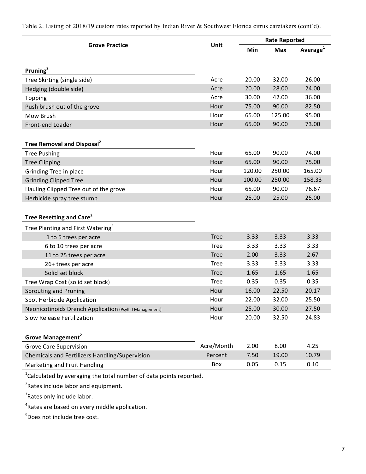**Grove Practice Rate Reported Unit Rate Reported Min Max Average<sup>1</sup> Pruning<sup>2</sup>** Tree Skirting (single side) and the Controller Controller Controller Acre 20.00 20.00 26.00 Hedging (double side) and the control of the control of the control of the control of the control of the control of the control of the control of the control of the control of the control of the control of the control of t Topping Acre 30.00 42.00 36.00 Push brush out of the grove example of the grove the example of the state Hour 75.00 90.00 82.50 Mow Brush 125.00 125.00 125.00 125.00 125.00 125.00 125.00 125.00 15.00 15.00 125.00 125.00 125.00 125.00 125 Front-end Loader **Front-end Loader Hour** 65.00 90.00 73.00 **Tree Removal and Disposal<sup>2</sup>** Tree Pushing **Tree Pushing 12.00 12.00 Hour** 65.00 **90.00** 74.00 Tree Clipping **Tree** Clipping **Hour** 65.00 90.00 75.00 Grinding Tree in place and the state of the Hour 120.00 250.00 165.00 Grinding Clipped Tree **Hour** 100.00 250.00 158.33 Hauling Clipped Tree out of the grove The Manuscription Courrel Hour 65.00 90.00 76.67 Herbicide spray tree stump and the control of the Hour 25.00 25.00 25.00 25.00 **Tree Resetting and Care<sup>2</sup>** Tree Planting and First Watering<sup>5</sup> 1 to 5 trees per acre and the set of the set of the set of the Second Tree 3.33 3.33 3.33 6 to 10 trees per acre and the set of the set of the set of the set of the set of the set of the set of the set of the set of the set of the set of the set of the set of the set of the set of the set of the set of the set 11 to 25 trees per acre and the contract of the contract of the COS 3.33 2.67 26+ trees per acre and the set of the contract of the Tree 3.33 3.33 3.33 Solid set block and the control of the control of the control of the control of the control of the control of the control of the control of the control of the control of the control of the control of the control of the con Tree Wrap Cost (solid set block) Tree 0.35 0.35 0.35 Sprouting and Pruning **Example 20.17** Sprouting and Pruning 20.17 Spot Herbicide Application and the settle of the Hour 22.00 32.00 25.50 Neonicotinoids Drench Application (Psyllid Management) Mour 25.00 30.00 27.50 Slow Release Fertilization and the state of the Hour 20.00 32.50 24.83 **Grove Management<sup>2</sup>** Grove Care Supervision and the Care of Acre/Month 2.00 8.00 4.25 Chemicals and Fertilizers Handling/Supervision **Percent** 7.50 19.00 10.79 Marketing and Fruit Handling and Executive Controller and Executive Controller Box and D.05 0.10

Table 2. Listing of 2018/19 custom rates reported by Indian River & Southwest Florida citrus caretakers (cont'd).

 $^{1}$ Calculated by averaging the total number of data points reported.

 ${}^{2}$ Rates include labor and equipment.

<sup>3</sup>Rates only include labor.

<sup>4</sup>Rates are based on every middle application.

5 Does not include tree cost.